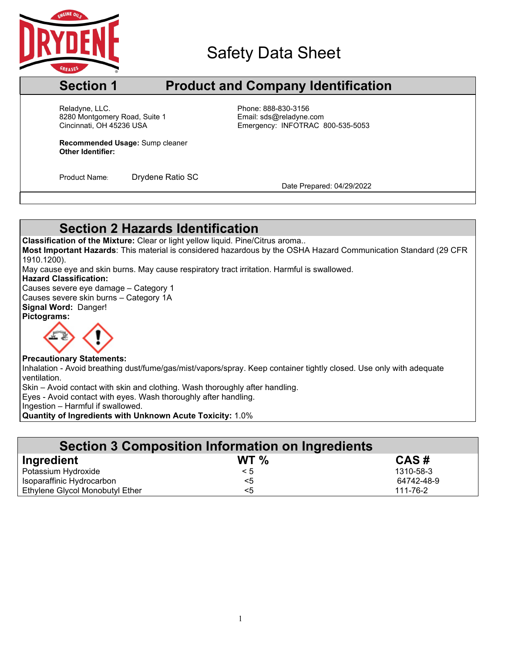

## Safety Data Sheet

## **Section 1 Product and Company Identification**

Cincinnati, OH 45236 USA Reladyne, LLC.<br>
8280 Montgomery Road, Suite 1 entitled by Phone: 888-830-3156<br>
Email: sds@reladyne.com 8280 Montgomery Road, Suite 1

Emergency: INFOTRAC 800-535-5053

**Recommended Usage:** Sump cleaner **Other Identifier:**

Product Name: Drydene Ratio SC<br>Date Prepared: 04/29/2022

### **Section 2 Hazards Identification**

**Classification of the Mixture:** Clear or light yellow liquid. Pine/Citrus aroma..

**Most Important Hazards**: This material is considered hazardous by the OSHA Hazard Communication Standard (29 CFR 1910.1200).

May cause eye and skin burns. May cause respiratory tract irritation. Harmful is swallowed.

#### **Hazard Classification:**

Causes severe eye damage – Category 1 Causes severe skin burns – Category 1A **Signal Word:** Danger! **Pictograms:**



#### **Precautionary Statements:**

Inhalation - Avoid breathing dust/fume/gas/mist/vapors/spray. Keep container tightly closed. Use only with adequate ventilation.

Skin – Avoid contact with skin and clothing. Wash thoroughly after handling.

Eyes - Avoid contact with eyes. Wash thoroughly after handling.

Ingestion – Harmful if swallowed.

**Quantity of Ingredients with Unknown Acute Toxicity:** 1.0%

| <b>Section 3 Composition Information on Ingredients</b> |          |            |  |  |  |  |
|---------------------------------------------------------|----------|------------|--|--|--|--|
| Ingredient                                              | WT $\%$  | CAS#       |  |  |  |  |
| Potassium Hydroxide                                     | $\leq 5$ | 1310-58-3  |  |  |  |  |
| Isoparaffinic Hydrocarbon                               | $<$ 5    | 64742-48-9 |  |  |  |  |
| Ethylene Glycol Monobutyl Ether                         | <5       | 111-76-2   |  |  |  |  |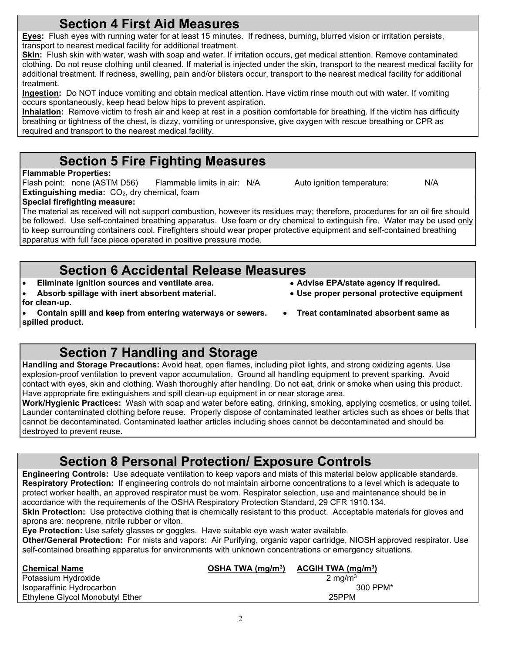**Eye Protection:** Use safety glasses or goggles. Have suitable eye wash water available.

**Other/General Protection:** For mists and vapors: Air Purifying, organic vapor cartridge, NIOSH approved respirator. Use self-contained breathing apparatus for environments with unknown concentrations or emergency situations.

| <b>Chemical Name</b>            | OSHA TWA $(mq/m3)$ | ACGIH TWA $(mg/m3)$ |
|---------------------------------|--------------------|---------------------|
| Potassium Hydroxide             |                    | $2 \text{ ma/m}^3$  |
| Isoparaffinic Hydrocarbon       |                    | 300 PPM*            |
| Ethylene Glycol Monobutyl Ether |                    | 25PPM               |

## **Section 4 First Aid Measures**

**Eyes:** Flush eyes with running water for at least 15 minutes. If redness, burning, blurred vision or irritation persists, transport to nearest medical facility for additional treatment.

**Skin:** Flush skin with water, wash with soap and water. If irritation occurs, get medical attention. Remove contaminated clothing. Do not reuse clothing until cleaned. If material is injected under the skin, transport to the nearest medical facility for additional treatment. If redness, swelling, pain and/or blisters occur, transport to the nearest medical facility for additional treatment.

**Ingestion:** Do NOT induce vomiting and obtain medical attention. Have victim rinse mouth out with water. If vomiting occurs spontaneously, keep head below hips to prevent aspiration.

**Inhalation:** Remove victim to fresh air and keep at rest in a position comfortable for breathing. If the victim has difficulty breathing or tightness of the chest, is dizzy, vomiting or unresponsive, give oxygen with rescue breathing or CPR as required and transport to the nearest medical facility.

## **Section 5 Fire Fighting Measures**

#### **Flammable Properties:**

Flash point: none (ASTM D56) Flammable limits in air: N/A Auto ignition temperature: N/A **Extinguishing media:** CO<sub>2</sub>, dry chemical, foam

#### **Special firefighting measure:**

The material as received will not support combustion, however its residues may; therefore, procedures for an oil fire should be followed. Use self-contained breathing apparatus. Use foam or dry chemical to extinguish fire. Water may be used only to keep surrounding containers cool. Firefighters should wear proper protective equipment and self-contained breathing apparatus with full face piece operated in positive pressure mode.

# **Section 6 Accidental Release Measures**<br> **Section** sources and ventilate area.<br>
• Advise EPA/state agency if required.

- **•** Eliminate ignition sources and ventilate area.
- **Absorb spillage with inert absorbent material. Use proper personal protective equipment**

aprons are: neoprene, nitrile rubber or viton.

- **for clean-up.**
- **Contain spill and keep from entering waterways or sewers. Treat contaminated absorbent same as spilled product.**
- 

**Section 7 Handling and Storage**

**Handling and Storage Precautions:** Avoid heat, open flames, including pilot lights, and strong oxidizing agents. Use explosion-proof ventilation to prevent vapor accumulation. Ground all handling equipment to prevent sparking. Avoid contact with eyes, skin and clothing. Wash thoroughly after handling. Do not eat, drink or smoke when using this product. Have appropriate fire extinguishers and spill clean-up equipment in or near storage area.

**Work/Hygienic Practices:** Wash with soap and water before eating, drinking, smoking, applying cosmetics, or using toilet. Launder contaminated clothing before reuse. Properly dispose of contaminated leather articles such as shoes or belts that cannot be decontaminated. Contaminated leather articles including shoes cannot be decontaminated and should be destroyed to prevent reuse.

## **Section 8 Personal Protection/ Exposure Controls**

**Engineering Controls:** Use adequate ventilation to keep vapors and mists of this material below applicable standards. **Respiratory Protection:** If engineering controls do not maintain airborne concentrations to a level which is adequate to protect worker health, an approved respirator must be worn. Respirator selection, use and maintenance should be in accordance with the requirements of the OSHA Respiratory Protection Standard, 29 CFR 1910.134. **Skin Protection:** Use protective clothing that is chemically resistant to this product. Acceptable materials for gloves and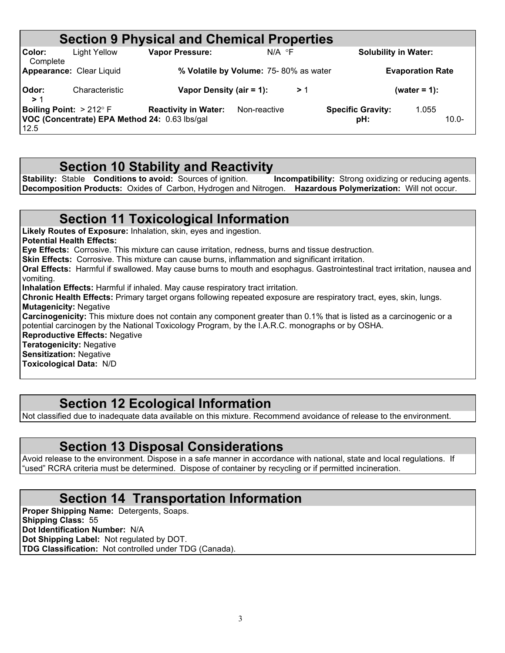|                                                |                                               | <b>Section 9 Physical and Chemical Properties</b> |                                       |    |                                 |                         |
|------------------------------------------------|-----------------------------------------------|---------------------------------------------------|---------------------------------------|----|---------------------------------|-------------------------|
| Color:<br>Complete                             | <b>Light Yellow</b>                           | <b>Vapor Pressure:</b>                            | $N/A$ $\circ$ F                       |    | <b>Solubility in Water:</b>     |                         |
| <b>Appearance: Clear Liquid</b>                |                                               |                                                   | % Volatile by Volume: 75-80% as water |    |                                 | <b>Evaporation Rate</b> |
| Odor:<br>>1                                    | Characteristic                                | Vapor Density (air = 1):                          |                                       | >1 |                                 | (water = $1$ ):         |
| <b>Boiling Point:</b> $>212^{\circ}$ F<br>12.5 | VOC (Concentrate) EPA Method 24: 0.63 lbs/gal | <b>Reactivity in Water:</b>                       | Non-reactive                          |    | <b>Specific Gravity:</b><br>pH: | 1.055<br>$10.0 -$       |

### **Section 10 Stability and Reactivity**

**Stability:** Stable **Conditions to avoid:** Sources of ignition. **Incompatibility:** Strong oxidizing or reducing agents. **Decomposition Products:** Oxides of Carbon, Hydrogen and Nitrogen. **Hazardous Polymerization:** Will not occur.

### **Section 11 Toxicological Information**

**Likely Routes of Exposure:** Inhalation, skin, eyes and ingestion.

**Potential Health Effects:**

**Eye Effects:** Corrosive. This mixture can cause irritation, redness, burns and tissue destruction.

**Skin Effects:** Corrosive. This mixture can cause burns, inflammation and significant irritation.

**Oral Effects:** Harmful if swallowed. May cause burns to mouth and esophagus. Gastrointestinal tract irritation, nausea and vomiting.

**Inhalation Effects:** Harmful if inhaled. May cause respiratory tract irritation.

**Chronic Health Effects:** Primary target organs following repeated exposure are respiratory tract, eyes, skin, lungs. **Mutagenicity:** Negative

**Carcinogenicity:** This mixture does not contain any component greater than 0.1% that is listed as a carcinogenic or a potential carcinogen by the National Toxicology Program, by the I.A.R.C. monographs or by OSHA.

**Reproductive Effects:** Negative

**Teratogenicity:** Negative

**Sensitization:** Negative **Toxicological Data:** N/D

### **Section 12 Ecological Information**

Not classified due to inadequate data available on this mixture. Recommend avoidance of release to the environment.

#### **Section 13 Disposal Considerations**

Avoid release to the environment. Dispose in a safe manner in accordance with national, state and local regulations. If "used" RCRA criteria must be determined. Dispose of container by recycling or if permitted incineration.

#### **Section 14 Transportation Information**

**Proper Shipping Name:** Detergents, Soaps. **Shipping Class:** 55 **Dot Identification Number:** N/A **Dot Shipping Label:** Not regulated by DOT. **TDG Classification:** Not controlled under TDG (Canada).